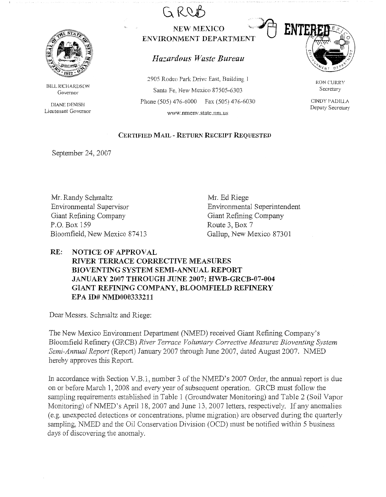

BILL RICHARDSON Governor

DIANE DENISH Lieutenant Governor

## **GK~**  NEW MEXICO **WALKER FINT ENVIRONMENT DEPARTMENT**

## *Ha:.ardous fVaste Bureau*

2905 Rodeo Park Drive East, Building l Santa Fe, New Mexico 87505-6303 Phone (505) 476-6000 Fax (505) 476-6030 www.nmenv.state.nm.us



RON CURRY Secretary

CINDY PADILLA Deputy Secretary

## **CERTIFIED MAIL - RETURN RECEIPT REQUESTED**

September 24, 2007

Mr. Randy Schmaltz Environmental Supervisor Giant Refining Company P.O. Box 159 Bloomfield, New Mexico 87413 Mr. Ed Riege Environmental Superintendent Giant Refining Company Route 3, Box 7 Gallup, New Mexico 87301

"",,

## **RE: NOTICE OF APPROVAL**

**RIVER TERRACE CORRECTIVE MEASURES BIOVENTING SYSTEM SEMI-ANNUAL REPORT JANUARY 2007 THROUGH JUNE 2007; HWB-GRCB-07-004 GIANT REFINING COMPANY, BLOOMFIELD REFINERY EPA ID# NMD000333211** 

Dear Messrs. Schmaltz and Riege:

The New Mexico Environment Department (NMED) received Giant Refining Company's Bloomfield Refinery (GRCB) River Terrace Voluntary Corrective Measures Bioventing System *Semi-Annual Report* (Report) January 2007 through June 2007, dated August 2007. NMED hereby approves this Report.

In accordance with Section V.B.1, number 3 of the NMED's 2007 Order, the annual report is due on or before March 1, 2008 and every year of subsequent operation. GRCB must follow the sampling requirements established in Table 1 (Groundwater Monitoring) and Table 2 (Soil Vapor Monitoring) of NMED's April 18, 2007 and June 13, 2007 letters, respectively. If any anomalies  $(e.g.,$  unexpected detections or concentrations, plume migration) are observed during the quarterly sampling, NMED and the Oil Conservation Division (OCD) must be notified within 5 business days of discovering the anomaly.